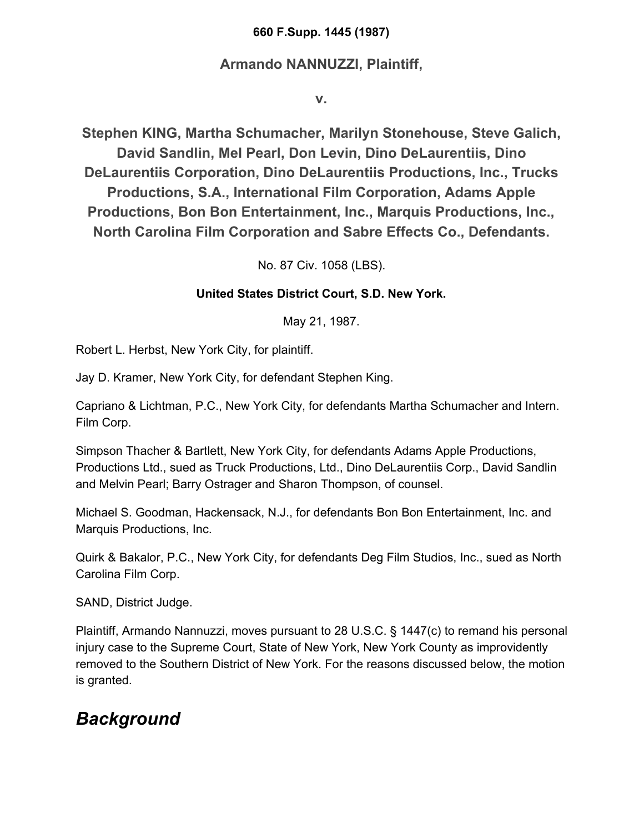### **660 F.Supp. 1445 (1987)**

### **Armando NANNUZZI, Plaintiff,**

**v.**

**Stephen KING, Martha Schumacher, Marilyn Stonehouse, Steve Galich, David Sandlin, Mel Pearl, Don Levin, Dino DeLaurentiis, Dino DeLaurentiis Corporation, Dino DeLaurentiis Productions, Inc., Trucks Productions, S.A., International Film Corporation, Adams Apple Productions, Bon Bon Entertainment, Inc., Marquis Productions, Inc., North Carolina Film Corporation and Sabre Effects Co., Defendants.**

No. 87 Civ. 1058 (LBS).

### **United States District Court, S.D. New York.**

May 21, 1987.

Robert L. Herbst, New York City, for plaintiff.

Jay D. Kramer, New York City, for defendant Stephen King.

Capriano & Lichtman, P.C., New York City, for defendants Martha Schumacher and Intern. Film Corp.

Simpson Thacher & Bartlett, New York City, for defendants Adams Apple Productions, Productions Ltd., sued as Truck Productions, Ltd., Dino DeLaurentiis Corp., David Sandlin and Melvin Pearl; Barry Ostrager and Sharon Thompson, of counsel.

Michael S. Goodman, Hackensack, N.J., for defendants Bon Bon Entertainment, Inc. and Marquis Productions, Inc.

Quirk & Bakalor, P.C., New York City, for defendants Deg Film Studios, Inc., sued as North Carolina Film Corp.

SAND, District Judge.

Plaintiff, Armando Nannuzzi, moves pursuant to 28 U.S.C. § 1447(c) to remand his personal injury case to the Supreme Court, State of New York, New York County as improvidently removed to the Southern District of New York. For the reasons discussed below, the motion is granted.

# *Background*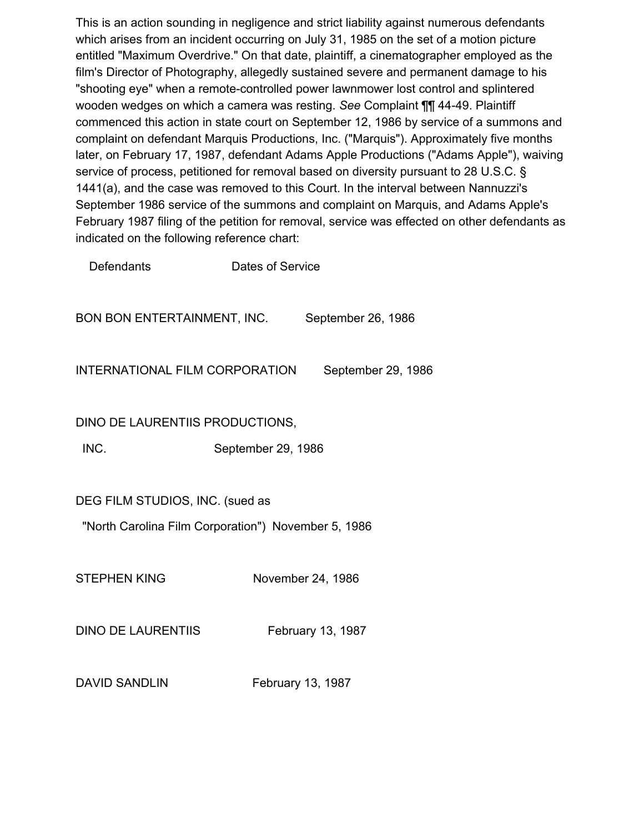This is an action sounding in negligence and strict liability against numerous defendants which arises from an incident occurring on July 31, 1985 on the set of a motion picture entitled "Maximum Overdrive." On that date, plaintiff, a cinematographer employed as the film's Director of Photography, allegedly sustained severe and permanent damage to his "shooting eye" when a remote-controlled power lawnmower lost control and splintered wooden wedges on which a camera was resting. *See* Complaint ¶¶ 44-49. Plaintiff commenced this action in state court on September 12, 1986 by service of a summons and complaint on defendant Marquis Productions, Inc. ("Marquis"). Approximately five months later, on February 17, 1987, defendant Adams Apple Productions ("Adams Apple"), waiving service of process, petitioned for removal based on diversity pursuant to 28 U.S.C. § 1441(a), and the case was removed to this Court. In the interval between Nannuzzi's September 1986 service of the summons and complaint on Marquis, and Adams Apple's February 1987 filing of the petition for removal, service was effected on other defendants as indicated on the following reference chart:

Defendants Dates of Service BON BON ENTERTAINMENT, INC. September 26, 1986 INTERNATIONAL FILM CORPORATION September 29, 1986 DINO DE LAURENTIIS PRODUCTIONS, INC. September 29, 1986 DEG FILM STUDIOS, INC. (sued as "North Carolina Film Corporation") November 5, 1986 STEPHEN KING November 24, 1986 DINO DE LAURENTIIS February 13, 1987

DAVID SANDLIN February 13, 1987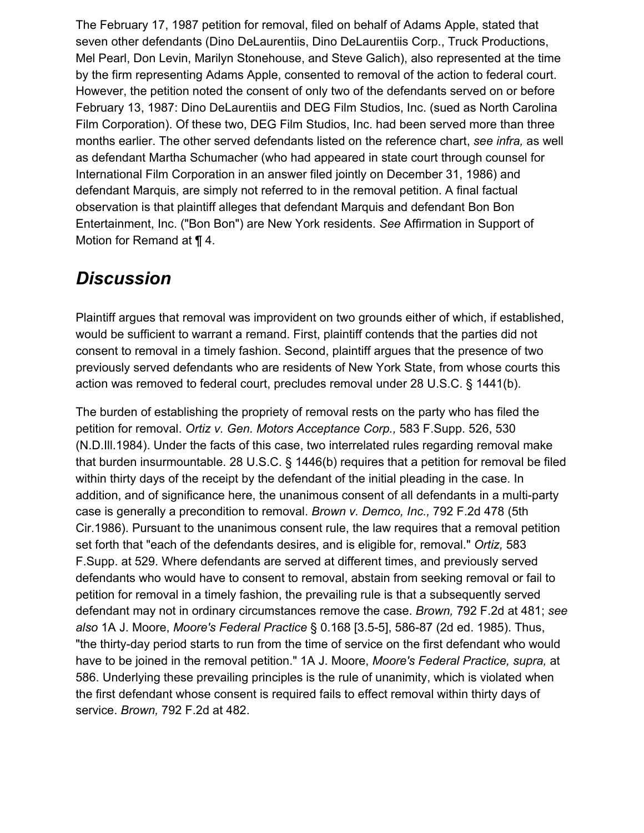The February 17, 1987 petition for removal, filed on behalf of Adams Apple, stated that seven other defendants (Dino DeLaurentiis, Dino DeLaurentiis Corp., Truck Productions, Mel Pearl, Don Levin, Marilyn Stonehouse, and Steve Galich), also represented at the time by the firm representing Adams Apple, consented to removal of the action to federal court. However, the petition noted the consent of only two of the defendants served on or before February 13, 1987: Dino DeLaurentiis and DEG Film Studios, Inc. (sued as North Carolina Film Corporation). Of these two, DEG Film Studios, Inc. had been served more than three months earlier. The other served defendants listed on the reference chart, *see infra,* as well as defendant Martha Schumacher (who had appeared in state court through counsel for International Film Corporation in an answer filed jointly on December 31, 1986) and defendant Marquis, are simply not referred to in the removal petition. A final factual observation is that plaintiff alleges that defendant Marquis and defendant Bon Bon Entertainment, Inc. ("Bon Bon") are New York residents. *See* Affirmation in Support of Motion for Remand at ¶ 4.

## *Discussion*

Plaintiff argues that removal was improvident on two grounds either of which, if established, would be sufficient to warrant a remand. First, plaintiff contends that the parties did not consent to removal in a timely fashion. Second, plaintiff argues that the presence of two previously served defendants who are residents of New York State, from whose courts this action was removed to federal court, precludes removal under 28 U.S.C. § 1441(b).

The burden of establishing the propriety of removal rests on the party who has filed the petition for removal. *Ortiz v. Gen. Motors Acceptance Corp.,* 583 F.Supp. 526, 530 (N.D.Ill.1984). Under the facts of this case, two interrelated rules regarding removal make that burden insurmountable. 28 U.S.C. § 1446(b) requires that a petition for removal be filed within thirty days of the receipt by the defendant of the initial pleading in the case. In addition, and of significance here, the unanimous consent of all defendants in a multi-party case is generally a precondition to removal. *Brown v. Demco, Inc.,* 792 F.2d 478 (5th Cir.1986). Pursuant to the unanimous consent rule, the law requires that a removal petition set forth that "each of the defendants desires, and is eligible for, removal." *Ortiz,* 583 F.Supp. at 529. Where defendants are served at different times, and previously served defendants who would have to consent to removal, abstain from seeking removal or fail to petition for removal in a timely fashion, the prevailing rule is that a subsequently served defendant may not in ordinary circumstances remove the case. *Brown,* 792 F.2d at 481; *see also* 1A J. Moore, *Moore's Federal Practice* § 0.168 [3.5-5], 586-87 (2d ed. 1985). Thus, "the thirty-day period starts to run from the time of service on the first defendant who would have to be joined in the removal petition." 1A J. Moore, *Moore's Federal Practice, supra,* at 586. Underlying these prevailing principles is the rule of unanimity, which is violated when the first defendant whose consent is required fails to effect removal within thirty days of service. *Brown,* 792 F.2d at 482.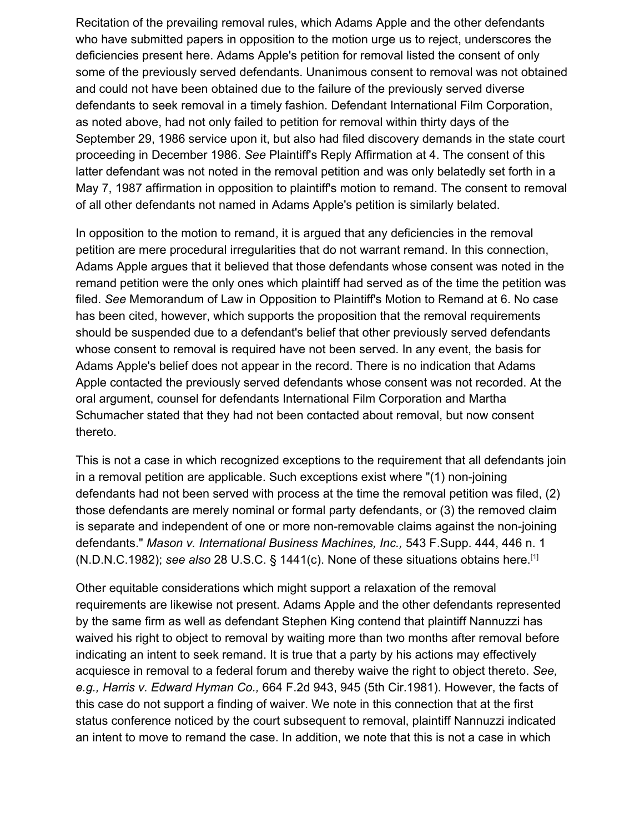Recitation of the prevailing removal rules, which Adams Apple and the other defendants who have submitted papers in opposition to the motion urge us to reject, underscores the deficiencies present here. Adams Apple's petition for removal listed the consent of only some of the previously served defendants. Unanimous consent to removal was not obtained and could not have been obtained due to the failure of the previously served diverse defendants to seek removal in a timely fashion. Defendant International Film Corporation, as noted above, had not only failed to petition for removal within thirty days of the September 29, 1986 service upon it, but also had filed discovery demands in the state court proceeding in December 1986. *See* Plaintiff's Reply Affirmation at 4. The consent of this latter defendant was not noted in the removal petition and was only belatedly set forth in a May 7, 1987 affirmation in opposition to plaintiff's motion to remand. The consent to removal of all other defendants not named in Adams Apple's petition is similarly belated.

In opposition to the motion to remand, it is argued that any deficiencies in the removal petition are mere procedural irregularities that do not warrant remand. In this connection, Adams Apple argues that it believed that those defendants whose consent was noted in the remand petition were the only ones which plaintiff had served as of the time the petition was filed. *See* Memorandum of Law in Opposition to Plaintiff's Motion to Remand at 6. No case has been cited, however, which supports the proposition that the removal requirements should be suspended due to a defendant's belief that other previously served defendants whose consent to removal is required have not been served. In any event, the basis for Adams Apple's belief does not appear in the record. There is no indication that Adams Apple contacted the previously served defendants whose consent was not recorded. At the oral argument, counsel for defendants International Film Corporation and Martha Schumacher stated that they had not been contacted about removal, but now consent thereto.

This is not a case in which recognized exceptions to the requirement that all defendants join in a removal petition are applicable. Such exceptions exist where "(1) non-joining defendants had not been served with process at the time the removal petition was filed, (2) those defendants are merely nominal or formal party defendants, or (3) the removed claim is separate and independent of one or more non-removable claims against the non-joining defendants." *Mason v. International Business Machines, Inc.,* 543 F.Supp. 444, 446 n. 1 (N.D.N.C.1982); *see also* 28 U.S.C. § 1441(c). None of these situations obtains here.[1]

Other equitable considerations which might support a relaxation of the removal requirements are likewise not present. Adams Apple and the other defendants represented by the same firm as well as defendant Stephen King contend that plaintiff Nannuzzi has waived his right to object to removal by waiting more than two months after removal before indicating an intent to seek remand. It is true that a party by his actions may effectively acquiesce in removal to a federal forum and thereby waive the right to object thereto. *See, e.g., Harris v. Edward Hyman Co.,* 664 F.2d 943, 945 (5th Cir.1981). However, the facts of this case do not support a finding of waiver. We note in this connection that at the first status conference noticed by the court subsequent to removal, plaintiff Nannuzzi indicated an intent to move to remand the case. In addition, we note that this is not a case in which